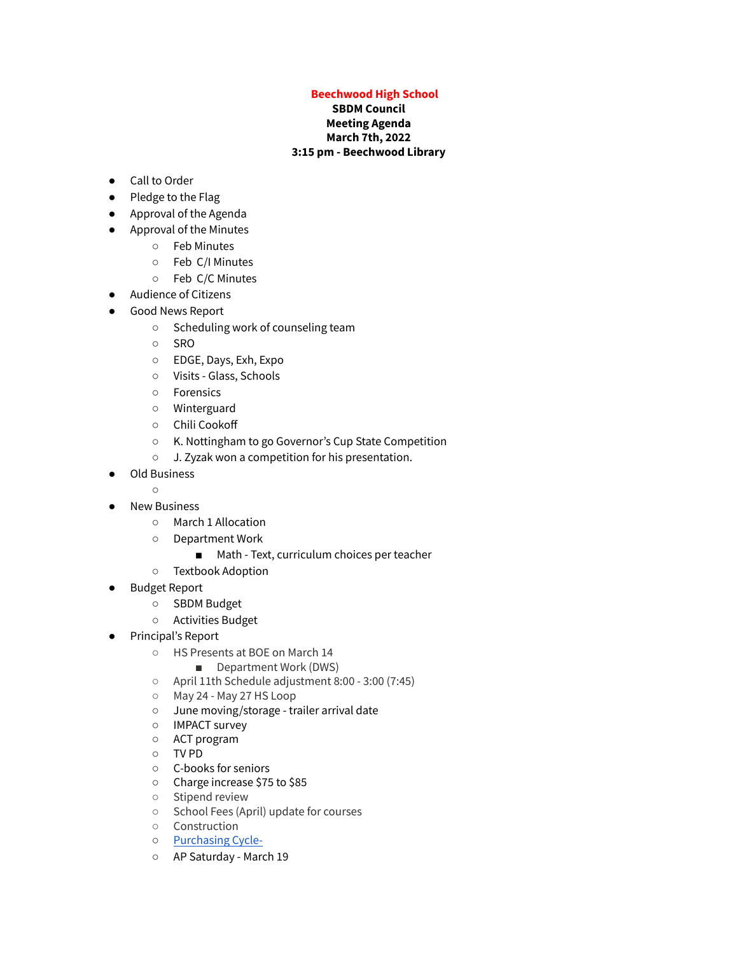## **Beechwood High School**

## **SBDM Council Meeting Agenda March 7th, 2022 3:15 pm - Beechwood Library**

- Call to Order
- Pledge to the Flag
- Approval of the Agenda
- Approval of the Minutes
	- Feb Minutes
	- Feb C/I Minutes
	- Feb C/C Minutes
- Audience of Citizens
- Good News Report
	- Scheduling work of counseling team
	- SRO
	- EDGE, Days, Exh, Expo
	- Visits Glass, Schools
	- Forensics
	- Winterguard
	- Chili Cookoff
	- K. Nottingham to go Governor's Cup State Competition
	- J. Zyzak won a competition for his presentation.
- Old Business
- $\circ$ **New Business** 
	- March 1 Allocation
	- Department Work
		- Math Text, curriculum choices per teacher
	- Textbook Adoption
- Budget Report
	- SBDM Budget
	- Activities Budget
- Principal's Report
	- HS Presents at BOE on March 14
		- Department Work (DWS)
	- April 11th Schedule adjustment 8:00 3:00 (7:45)
	- May 24 May 27 HS Loop
	- June moving/storage trailer arrival date
	- IMPACT survey
	- ACT program
	- TV PD
	- C-books for seniors
	- Charge increase \$75 to \$85
	- Stipend review
	- School Fees (April) update for courses
	- Construction
	- [Purchasing](https://docs.google.com/spreadsheets/d/1ZklGCywipIpgben3HfocZIhWnnTtVq1FQ_TWIrN7nz0/edit?usp=sharing) Cycle-
	- AP Saturday March 19